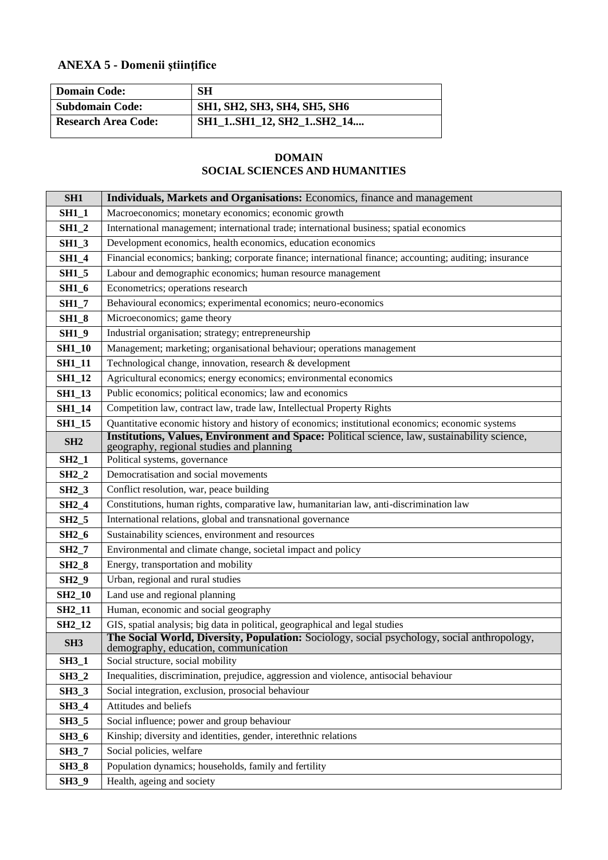## **ANEXA 5 - Domenii ştiinţifice**

| <b>Domain Code:</b>        | <b>SH</b>                           |
|----------------------------|-------------------------------------|
| <b>Subdomain Code:</b>     | <b>SH1, SH2, SH3, SH4, SH5, SH6</b> |
| <b>Research Area Code:</b> | SH1_1SH1_12, SH2_1SH2_14            |

## **DOMAIN SOCIAL SCIENCES AND HUMANITIES**

| SH <sub>1</sub>     | Individuals, Markets and Organisations: Economics, finance and management                                                                |  |  |
|---------------------|------------------------------------------------------------------------------------------------------------------------------------------|--|--|
| <b>SH1_1</b>        | Macroeconomics; monetary economics; economic growth                                                                                      |  |  |
| <b>SH1 2</b>        | International management; international trade; international business; spatial economics                                                 |  |  |
| $SH1_3$             | Development economics, health economics, education economics                                                                             |  |  |
| <b>SH1_4</b>        | Financial economics; banking; corporate finance; international finance; accounting; auditing; insurance                                  |  |  |
| <b>SH1_5</b>        | Labour and demographic economics; human resource management                                                                              |  |  |
| <b>SH1_6</b>        | Econometrics; operations research                                                                                                        |  |  |
| <b>SH1_7</b>        | Behavioural economics; experimental economics; neuro-economics                                                                           |  |  |
| <b>SH1_8</b>        | Microeconomics; game theory                                                                                                              |  |  |
| $SH1_9$             | Industrial organisation; strategy; entrepreneurship                                                                                      |  |  |
| <b>SH1_10</b>       | Management; marketing; organisational behaviour; operations management                                                                   |  |  |
| <b>SH1_11</b>       | Technological change, innovation, research & development                                                                                 |  |  |
| <b>SH1_12</b>       | Agricultural economics; energy economics; environmental economics                                                                        |  |  |
| <b>SH1_13</b>       | Public economics; political economics; law and economics                                                                                 |  |  |
| <b>SH1_14</b>       | Competition law, contract law, trade law, Intellectual Property Rights                                                                   |  |  |
| <b>SH1_15</b>       | Quantitative economic history and history of economics; institutional economics; economic systems                                        |  |  |
| SH2                 | Institutions, Values, Environment and Space: Political science, law, sustainability science,<br>geography, regional studies and planning |  |  |
| $SH2_1$             | Political systems, governance                                                                                                            |  |  |
| $SH2_2$             | Democratisation and social movements                                                                                                     |  |  |
| <b>SH2_3</b>        | Conflict resolution, war, peace building                                                                                                 |  |  |
| $SH2_4$             | Constitutions, human rights, comparative law, humanitarian law, anti-discrimination law                                                  |  |  |
| <b>SH2_5</b>        | International relations, global and transnational governance                                                                             |  |  |
| $SH2_6$             | Sustainability sciences, environment and resources                                                                                       |  |  |
| <b>SH2_7</b>        | Environmental and climate change, societal impact and policy                                                                             |  |  |
| <b>SH2_8</b>        | Energy, transportation and mobility                                                                                                      |  |  |
| <b>SH2_9</b>        | Urban, regional and rural studies                                                                                                        |  |  |
| <b>SH2_10</b>       | Land use and regional planning                                                                                                           |  |  |
| <b>SH2_11</b>       | Human, economic and social geography                                                                                                     |  |  |
| SH <sub>2</sub> _12 | GIS, spatial analysis; big data in political, geographical and legal studies                                                             |  |  |
| SH <sub>3</sub>     | The Social World, Diversity, Population: Sociology, social psychology, social anthropology,<br>demography, education, communication      |  |  |
| <b>SH3_1</b>        | Social structure, social mobility                                                                                                        |  |  |
| $SH3_2$             | Inequalities, discrimination, prejudice, aggression and violence, antisocial behaviour                                                   |  |  |
| <b>SH3_3</b>        | Social integration, exclusion, prosocial behaviour                                                                                       |  |  |
| <b>SH3_4</b>        | Attitudes and beliefs                                                                                                                    |  |  |
| <b>SH3_5</b>        | Social influence; power and group behaviour                                                                                              |  |  |
| <b>SH3_6</b>        | Kinship; diversity and identities, gender, interethnic relations                                                                         |  |  |
| <b>SH3_7</b>        | Social policies, welfare                                                                                                                 |  |  |
| <b>SH3_8</b>        | Population dynamics; households, family and fertility                                                                                    |  |  |
| <b>SH3_9</b>        | Health, ageing and society                                                                                                               |  |  |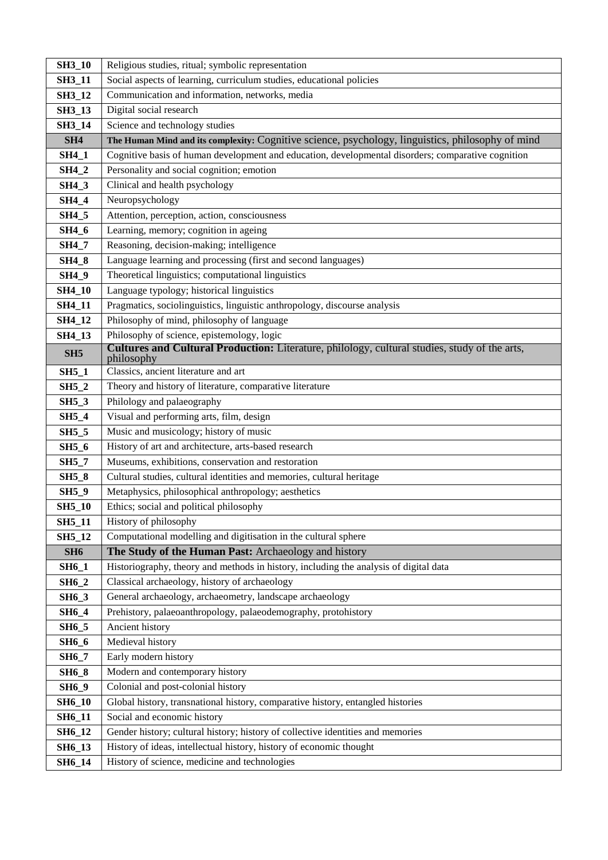| <b>SH3_10</b>   | Religious studies, ritual; symbolic representation                                                          |  |  |
|-----------------|-------------------------------------------------------------------------------------------------------------|--|--|
| <b>SH3_11</b>   | Social aspects of learning, curriculum studies, educational policies                                        |  |  |
| <b>SH3_12</b>   | Communication and information, networks, media                                                              |  |  |
| <b>SH3_13</b>   | Digital social research                                                                                     |  |  |
| SH3_14          | Science and technology studies                                                                              |  |  |
| SH4             | The Human Mind and its complexity: Cognitive science, psychology, linguistics, philosophy of mind           |  |  |
| <b>SH4_1</b>    | Cognitive basis of human development and education, developmental disorders; comparative cognition          |  |  |
| <b>SH4_2</b>    | Personality and social cognition; emotion                                                                   |  |  |
| <b>SH4_3</b>    | Clinical and health psychology                                                                              |  |  |
| <b>SH4_4</b>    | Neuropsychology                                                                                             |  |  |
| <b>SH4_5</b>    | Attention, perception, action, consciousness                                                                |  |  |
| <b>SH4_6</b>    | Learning, memory; cognition in ageing                                                                       |  |  |
| <b>SH4_7</b>    | Reasoning, decision-making; intelligence                                                                    |  |  |
| <b>SH4_8</b>    | Language learning and processing (first and second languages)                                               |  |  |
| <b>SH4_9</b>    | Theoretical linguistics; computational linguistics                                                          |  |  |
| <b>SH4_10</b>   | Language typology; historical linguistics                                                                   |  |  |
| <b>SH4_11</b>   | Pragmatics, sociolinguistics, linguistic anthropology, discourse analysis                                   |  |  |
| SH4_12          | Philosophy of mind, philosophy of language                                                                  |  |  |
| SH4_13          | Philosophy of science, epistemology, logic                                                                  |  |  |
| SH <sub>5</sub> | Cultures and Cultural Production: Literature, philology, cultural studies, study of the arts,<br>philosophy |  |  |
| $SH5_1$         | Classics, ancient literature and art                                                                        |  |  |
| $SH5_2$         | Theory and history of literature, comparative literature                                                    |  |  |
| <b>SH5_3</b>    | Philology and palaeography                                                                                  |  |  |
| <b>SH5_4</b>    | Visual and performing arts, film, design                                                                    |  |  |
| <b>SH5_5</b>    | Music and musicology; history of music                                                                      |  |  |
| <b>SH5_6</b>    | History of art and architecture, arts-based research                                                        |  |  |
| <b>SH5_7</b>    | Museums, exhibitions, conservation and restoration                                                          |  |  |
| <b>SH5_8</b>    | Cultural studies, cultural identities and memories, cultural heritage                                       |  |  |
| $SH5_9$         | Metaphysics, philosophical anthropology; aesthetics                                                         |  |  |
| <b>SH5_10</b>   | Ethics; social and political philosophy                                                                     |  |  |
| <b>SH5_11</b>   | History of philosophy                                                                                       |  |  |
| SH5_12          | Computational modelling and digitisation in the cultural sphere                                             |  |  |
| SH <sub>6</sub> | The Study of the Human Past: Archaeology and history                                                        |  |  |
| <b>SH6_1</b>    | Historiography, theory and methods in history, including the analysis of digital data                       |  |  |
| <b>SH6_2</b>    | Classical archaeology, history of archaeology                                                               |  |  |
| <b>SH6_3</b>    | General archaeology, archaeometry, landscape archaeology                                                    |  |  |
| SH6_4           | Prehistory, palaeoanthropology, palaeodemography, protohistory                                              |  |  |
| <b>SH6_5</b>    | Ancient history                                                                                             |  |  |
| <b>SH6_6</b>    | Medieval history                                                                                            |  |  |
| <b>SH6_7</b>    | Early modern history                                                                                        |  |  |
| <b>SH6_8</b>    | Modern and contemporary history                                                                             |  |  |
| <b>SH6_9</b>    | Colonial and post-colonial history                                                                          |  |  |
| <b>SH6_10</b>   | Global history, transnational history, comparative history, entangled histories                             |  |  |
| <b>SH6_11</b>   | Social and economic history                                                                                 |  |  |
| <b>SH6_12</b>   | Gender history; cultural history; history of collective identities and memories                             |  |  |
| <b>SH6_13</b>   | History of ideas, intellectual history, history of economic thought                                         |  |  |
| SH6_14          | History of science, medicine and technologies                                                               |  |  |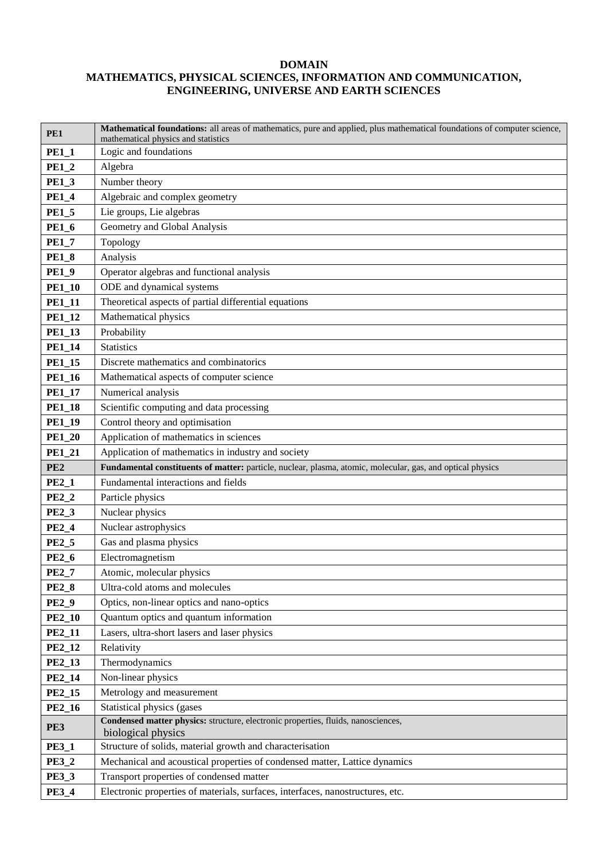## **DOMAIN MATHEMATICS, PHYSICAL SCIENCES, INFORMATION AND COMMUNICATION, ENGINEERING, UNIVERSE AND EARTH SCIENCES**

| Application of mathematics in industry and society                                                         |  |  |
|------------------------------------------------------------------------------------------------------------|--|--|
| Fundamental constituents of matter: particle, nuclear, plasma, atomic, molecular, gas, and optical physics |  |  |
|                                                                                                            |  |  |
|                                                                                                            |  |  |
|                                                                                                            |  |  |
|                                                                                                            |  |  |
|                                                                                                            |  |  |
|                                                                                                            |  |  |
|                                                                                                            |  |  |
|                                                                                                            |  |  |
|                                                                                                            |  |  |
|                                                                                                            |  |  |
|                                                                                                            |  |  |
|                                                                                                            |  |  |
|                                                                                                            |  |  |
|                                                                                                            |  |  |
|                                                                                                            |  |  |
|                                                                                                            |  |  |
|                                                                                                            |  |  |
|                                                                                                            |  |  |
|                                                                                                            |  |  |
|                                                                                                            |  |  |
|                                                                                                            |  |  |
|                                                                                                            |  |  |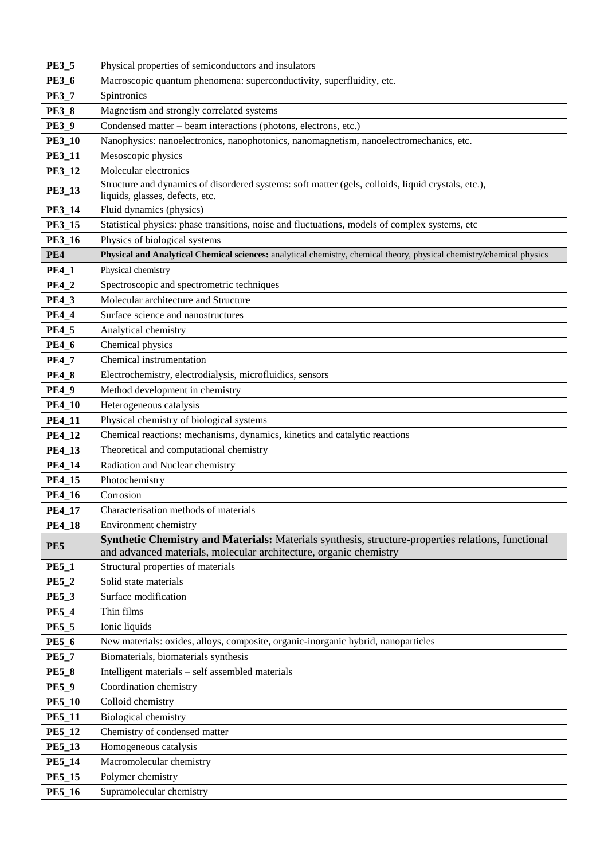| <b>PE3_5</b>  | Physical properties of semiconductors and insulators                                                                                  |  |
|---------------|---------------------------------------------------------------------------------------------------------------------------------------|--|
| <b>PE3_6</b>  | Macroscopic quantum phenomena: superconductivity, superfluidity, etc.                                                                 |  |
| <b>PE3 7</b>  | Spintronics                                                                                                                           |  |
| <b>PE3_8</b>  | Magnetism and strongly correlated systems                                                                                             |  |
| <b>PE3_9</b>  | Condensed matter – beam interactions (photons, electrons, etc.)                                                                       |  |
| <b>PE3_10</b> | Nanophysics: nanoelectronics, nanophotonics, nanomagnetism, nanoelectromechanics, etc.                                                |  |
| <b>PE3_11</b> | Mesoscopic physics                                                                                                                    |  |
| PE3_12        | Molecular electronics                                                                                                                 |  |
| <b>PE3_13</b> | Structure and dynamics of disordered systems: soft matter (gels, colloids, liquid crystals, etc.),<br>liquids, glasses, defects, etc. |  |
| <b>PE3_14</b> | Fluid dynamics (physics)                                                                                                              |  |
| <b>PE3_15</b> | Statistical physics: phase transitions, noise and fluctuations, models of complex systems, etc                                        |  |
| <b>PE3_16</b> | Physics of biological systems                                                                                                         |  |
| PE4           | Physical and Analytical Chemical sciences: analytical chemistry, chemical theory, physical chemistry/chemical physics                 |  |
| <b>PE4_1</b>  | Physical chemistry                                                                                                                    |  |
| <b>PE4_2</b>  | Spectroscopic and spectrometric techniques                                                                                            |  |
| <b>PE4_3</b>  | Molecular architecture and Structure                                                                                                  |  |
| <b>PE4_4</b>  | Surface science and nanostructures                                                                                                    |  |
| <b>PE4_5</b>  | Analytical chemistry                                                                                                                  |  |
| <b>PE4_6</b>  | Chemical physics                                                                                                                      |  |
| <b>PE4_7</b>  | Chemical instrumentation                                                                                                              |  |
| <b>PE4_8</b>  | Electrochemistry, electrodialysis, microfluidics, sensors                                                                             |  |
| <b>PE4_9</b>  | Method development in chemistry                                                                                                       |  |
| <b>PE4_10</b> | Heterogeneous catalysis                                                                                                               |  |
| <b>PE4_11</b> | Physical chemistry of biological systems                                                                                              |  |
| PE4_12        | Chemical reactions: mechanisms, dynamics, kinetics and catalytic reactions                                                            |  |
| PE4_13        | Theoretical and computational chemistry                                                                                               |  |
| PE4_14        | Radiation and Nuclear chemistry                                                                                                       |  |
| <b>PE4_15</b> | Photochemistry                                                                                                                        |  |
| <b>PE4_16</b> | Corrosion                                                                                                                             |  |
| <b>PE4 17</b> | Characterisation methods of materials                                                                                                 |  |
| <b>PE4_18</b> | Environment chemistry                                                                                                                 |  |
| PE5           | Synthetic Chemistry and Materials: Materials synthesis, structure-properties relations, functional                                    |  |
|               | and advanced materials, molecular architecture, organic chemistry                                                                     |  |
| <b>PE5_1</b>  | Structural properties of materials                                                                                                    |  |
| <b>PE5_2</b>  | Solid state materials                                                                                                                 |  |
| <b>PE5_3</b>  | Surface modification                                                                                                                  |  |
| <b>PE5_4</b>  | Thin films                                                                                                                            |  |
| <b>PE5_5</b>  | Ionic liquids                                                                                                                         |  |
| <b>PE5_6</b>  | New materials: oxides, alloys, composite, organic-inorganic hybrid, nanoparticles                                                     |  |
| <b>PE5_7</b>  | Biomaterials, biomaterials synthesis                                                                                                  |  |
| <b>PE5_8</b>  | Intelligent materials - self assembled materials                                                                                      |  |
| <b>PE5_9</b>  | Coordination chemistry                                                                                                                |  |
| <b>PE5_10</b> | Colloid chemistry                                                                                                                     |  |
| <b>PE5_11</b> | <b>Biological chemistry</b>                                                                                                           |  |
| <b>PE5_12</b> | Chemistry of condensed matter                                                                                                         |  |
| PE5_13        | Homogeneous catalysis                                                                                                                 |  |
| <b>PE5_14</b> | Macromolecular chemistry                                                                                                              |  |
| <b>PE5_15</b> | Polymer chemistry                                                                                                                     |  |
| <b>PE5_16</b> | Supramolecular chemistry                                                                                                              |  |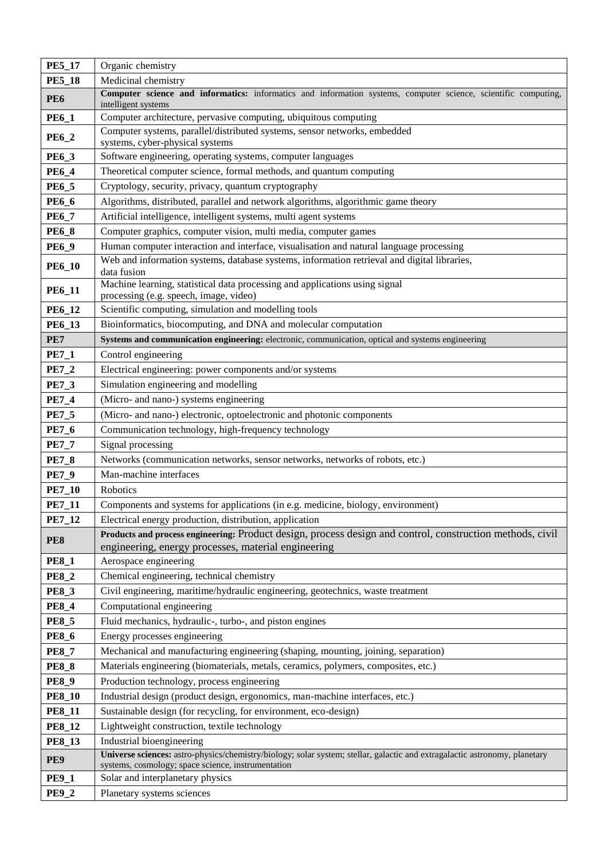| <b>PE5_17</b> | Organic chemistry                                                                                                                                                                |  |  |
|---------------|----------------------------------------------------------------------------------------------------------------------------------------------------------------------------------|--|--|
| <b>PE5_18</b> | Medicinal chemistry                                                                                                                                                              |  |  |
| <b>PE6</b>    | Computer science and informatics: informatics and information systems, computer science, scientific computing,<br>intelligent systems                                            |  |  |
| <b>PE6_1</b>  | Computer architecture, pervasive computing, ubiquitous computing                                                                                                                 |  |  |
| <b>PE6_2</b>  | Computer systems, parallel/distributed systems, sensor networks, embedded<br>systems, cyber-physical systems                                                                     |  |  |
| <b>PE6_3</b>  | Software engineering, operating systems, computer languages                                                                                                                      |  |  |
| <b>PE6_4</b>  | Theoretical computer science, formal methods, and quantum computing                                                                                                              |  |  |
| <b>PE6_5</b>  | Cryptology, security, privacy, quantum cryptography                                                                                                                              |  |  |
| <b>PE6_6</b>  | Algorithms, distributed, parallel and network algorithms, algorithmic game theory                                                                                                |  |  |
| <b>PE6_7</b>  | Artificial intelligence, intelligent systems, multi agent systems                                                                                                                |  |  |
| <b>PE6_8</b>  | Computer graphics, computer vision, multi media, computer games                                                                                                                  |  |  |
| <b>PE6_9</b>  | Human computer interaction and interface, visualisation and natural language processing                                                                                          |  |  |
| <b>PE6_10</b> | Web and information systems, database systems, information retrieval and digital libraries,<br>data fusion                                                                       |  |  |
| <b>PE6_11</b> | Machine learning, statistical data processing and applications using signal<br>processing (e.g. speech, image, video)                                                            |  |  |
| <b>PE6_12</b> | Scientific computing, simulation and modelling tools                                                                                                                             |  |  |
| PE6_13        | Bioinformatics, biocomputing, and DNA and molecular computation                                                                                                                  |  |  |
| PE7           | Systems and communication engineering: electronic, communication, optical and systems engineering                                                                                |  |  |
| <b>PE7_1</b>  | Control engineering                                                                                                                                                              |  |  |
| <b>PE7_2</b>  | Electrical engineering: power components and/or systems                                                                                                                          |  |  |
| <b>PE7_3</b>  | Simulation engineering and modelling                                                                                                                                             |  |  |
| <b>PE7_4</b>  | (Micro- and nano-) systems engineering                                                                                                                                           |  |  |
| <b>PE7_5</b>  | (Micro- and nano-) electronic, optoelectronic and photonic components                                                                                                            |  |  |
| <b>PE7_6</b>  | Communication technology, high-frequency technology                                                                                                                              |  |  |
| <b>PE7_7</b>  | Signal processing                                                                                                                                                                |  |  |
| <b>PE7_8</b>  | Networks (communication networks, sensor networks, networks of robots, etc.)                                                                                                     |  |  |
| <b>PE7_9</b>  | Man-machine interfaces                                                                                                                                                           |  |  |
| <b>PE7_10</b> | Robotics                                                                                                                                                                         |  |  |
| <b>PE7_11</b> | Components and systems for applications (in e.g. medicine, biology, environment)                                                                                                 |  |  |
| <b>PE7_12</b> | Electrical energy production, distribution, application                                                                                                                          |  |  |
| PE8           | Products and process engineering: Product design, process design and control, construction methods, civil<br>engineering, energy processes, material engineering                 |  |  |
| <b>PE8_1</b>  | Aerospace engineering                                                                                                                                                            |  |  |
| <b>PE8_2</b>  | Chemical engineering, technical chemistry                                                                                                                                        |  |  |
| <b>PE8_3</b>  | Civil engineering, maritime/hydraulic engineering, geotechnics, waste treatment                                                                                                  |  |  |
| <b>PE8_4</b>  | Computational engineering                                                                                                                                                        |  |  |
| <b>PE8_5</b>  | Fluid mechanics, hydraulic-, turbo-, and piston engines                                                                                                                          |  |  |
| <b>PE8_6</b>  | Energy processes engineering                                                                                                                                                     |  |  |
| <b>PE8_7</b>  | Mechanical and manufacturing engineering (shaping, mounting, joining, separation)                                                                                                |  |  |
| <b>PE8_8</b>  | Materials engineering (biomaterials, metals, ceramics, polymers, composites, etc.)                                                                                               |  |  |
| <b>PE8_9</b>  | Production technology, process engineering                                                                                                                                       |  |  |
| <b>PE8_10</b> | Industrial design (product design, ergonomics, man-machine interfaces, etc.)                                                                                                     |  |  |
| <b>PE8_11</b> | Sustainable design (for recycling, for environment, eco-design)                                                                                                                  |  |  |
| <b>PE8_12</b> | Lightweight construction, textile technology                                                                                                                                     |  |  |
| <b>PE8_13</b> | Industrial bioengineering                                                                                                                                                        |  |  |
| PE9           | Universe sciences: astro-physics/chemistry/biology; solar system; stellar, galactic and extragalactic astronomy, planetary<br>systems, cosmology; space science, instrumentation |  |  |
| <b>PE9_1</b>  | Solar and interplanetary physics                                                                                                                                                 |  |  |
| <b>PE9_2</b>  | Planetary systems sciences                                                                                                                                                       |  |  |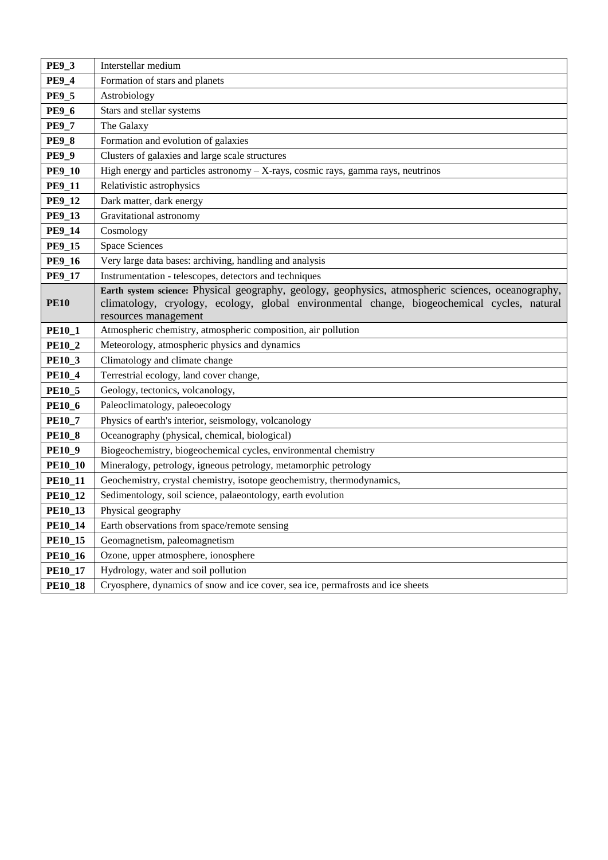| <b>PE9 3</b>   | Interstellar medium                                                                                                                                                                                                       |  |
|----------------|---------------------------------------------------------------------------------------------------------------------------------------------------------------------------------------------------------------------------|--|
| <b>PE9_4</b>   | Formation of stars and planets                                                                                                                                                                                            |  |
| <b>PE9_5</b>   | Astrobiology                                                                                                                                                                                                              |  |
| <b>PE9_6</b>   | Stars and stellar systems                                                                                                                                                                                                 |  |
| <b>PE9_7</b>   | The Galaxy                                                                                                                                                                                                                |  |
| <b>PE9_8</b>   | Formation and evolution of galaxies                                                                                                                                                                                       |  |
| <b>PE9_9</b>   | Clusters of galaxies and large scale structures                                                                                                                                                                           |  |
| <b>PE9_10</b>  | High energy and particles astronomy - X-rays, cosmic rays, gamma rays, neutrinos                                                                                                                                          |  |
| <b>PE9_11</b>  | Relativistic astrophysics                                                                                                                                                                                                 |  |
| <b>PE9_12</b>  | Dark matter, dark energy                                                                                                                                                                                                  |  |
| <b>PE9_13</b>  | Gravitational astronomy                                                                                                                                                                                                   |  |
| <b>PE9_14</b>  | Cosmology                                                                                                                                                                                                                 |  |
| <b>PE9_15</b>  | <b>Space Sciences</b>                                                                                                                                                                                                     |  |
| <b>PE9_16</b>  | Very large data bases: archiving, handling and analysis                                                                                                                                                                   |  |
| <b>PE9_17</b>  | Instrumentation - telescopes, detectors and techniques                                                                                                                                                                    |  |
| <b>PE10</b>    | Earth system science: Physical geography, geology, geophysics, atmospheric sciences, oceanography,<br>climatology, cryology, ecology, global environmental change, biogeochemical cycles, natural<br>resources management |  |
| <b>PE10_1</b>  | Atmospheric chemistry, atmospheric composition, air pollution                                                                                                                                                             |  |
| <b>PE10_2</b>  | Meteorology, atmospheric physics and dynamics                                                                                                                                                                             |  |
| <b>PE10_3</b>  | Climatology and climate change                                                                                                                                                                                            |  |
| <b>PE10_4</b>  | Terrestrial ecology, land cover change,                                                                                                                                                                                   |  |
| <b>PE10_5</b>  | Geology, tectonics, volcanology,                                                                                                                                                                                          |  |
| <b>PE10_6</b>  | Paleoclimatology, paleoecology                                                                                                                                                                                            |  |
| <b>PE10_7</b>  | Physics of earth's interior, seismology, volcanology                                                                                                                                                                      |  |
| <b>PE10_8</b>  | Oceanography (physical, chemical, biological)                                                                                                                                                                             |  |
| <b>PE10_9</b>  | Biogeochemistry, biogeochemical cycles, environmental chemistry                                                                                                                                                           |  |
| <b>PE10_10</b> | Mineralogy, petrology, igneous petrology, metamorphic petrology                                                                                                                                                           |  |
| <b>PE10_11</b> | Geochemistry, crystal chemistry, isotope geochemistry, thermodynamics,                                                                                                                                                    |  |
| <b>PE10_12</b> | Sedimentology, soil science, palaeontology, earth evolution                                                                                                                                                               |  |
| <b>PE10_13</b> | Physical geography                                                                                                                                                                                                        |  |
| <b>PE10_14</b> | Earth observations from space/remote sensing                                                                                                                                                                              |  |
| <b>PE10_15</b> | Geomagnetism, paleomagnetism                                                                                                                                                                                              |  |
| <b>PE10_16</b> | Ozone, upper atmosphere, ionosphere                                                                                                                                                                                       |  |
| <b>PE10_17</b> | Hydrology, water and soil pollution                                                                                                                                                                                       |  |
| <b>PE10_18</b> | Cryosphere, dynamics of snow and ice cover, sea ice, permafrosts and ice sheets                                                                                                                                           |  |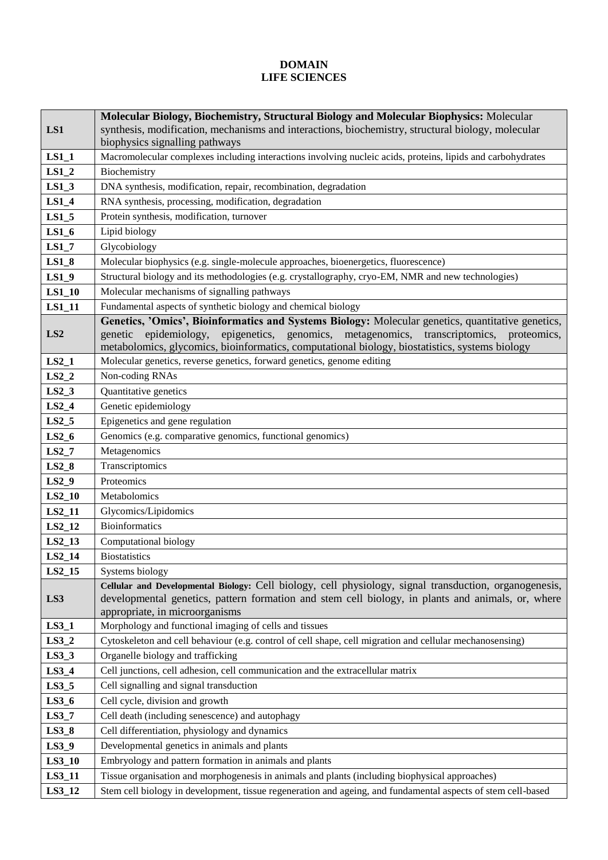## **DOMAIN LIFE SCIENCES**

|                 | Molecular Biology, Biochemistry, Structural Biology and Molecular Biophysics: Molecular                      |  |
|-----------------|--------------------------------------------------------------------------------------------------------------|--|
| LS1             | synthesis, modification, mechanisms and interactions, biochemistry, structural biology, molecular            |  |
|                 | biophysics signalling pathways                                                                               |  |
| $LS1_1$         | Macromolecular complexes including interactions involving nucleic acids, proteins, lipids and carbohydrates  |  |
| $LS1_2$         | Biochemistry                                                                                                 |  |
| $LS1_3$         | DNA synthesis, modification, repair, recombination, degradation                                              |  |
| $LS1_4$         | RNA synthesis, processing, modification, degradation                                                         |  |
| $LS1_5$         | Protein synthesis, modification, turnover                                                                    |  |
| $LS1_6$         | Lipid biology                                                                                                |  |
| $LS1_7$         | Glycobiology                                                                                                 |  |
| $LS1_8$         | Molecular biophysics (e.g. single-molecule approaches, bioenergetics, fluorescence)                          |  |
| $LS1_9$         | Structural biology and its methodologies (e.g. crystallography, cryo-EM, NMR and new technologies)           |  |
| $LS1_10$        | Molecular mechanisms of signalling pathways                                                                  |  |
| LS1_11          | Fundamental aspects of synthetic biology and chemical biology                                                |  |
|                 | Genetics, 'Omics', Bioinformatics and Systems Biology: Molecular genetics, quantitative genetics,            |  |
| LS <sub>2</sub> | epigenetics, genomics, metagenomics, transcriptomics, proteomics,<br>epidemiology,<br>genetic                |  |
|                 | metabolomics, glycomics, bioinformatics, computational biology, biostatistics, systems biology               |  |
| $LS2_1$         | Molecular genetics, reverse genetics, forward genetics, genome editing                                       |  |
| $LS2_2$         | Non-coding RNAs                                                                                              |  |
| $LS2_3$         | Quantitative genetics                                                                                        |  |
| $LS2_4$         | Genetic epidemiology                                                                                         |  |
| $LS2_5$         | Epigenetics and gene regulation                                                                              |  |
| $LS2_6$         | Genomics (e.g. comparative genomics, functional genomics)                                                    |  |
| $LS2_7$         | Metagenomics                                                                                                 |  |
| $LS2_8$         | Transcriptomics                                                                                              |  |
| $LS2_9$         | Proteomics                                                                                                   |  |
| $LS2_10$        | Metabolomics                                                                                                 |  |
| LS2_11          | Glycomics/Lipidomics                                                                                         |  |
| LS2_12          | <b>Bioinformatics</b>                                                                                        |  |
| LS2_13          | Computational biology                                                                                        |  |
| $LS2_14$        | <b>Biostatistics</b>                                                                                         |  |
| LS2_15          | Systems biology                                                                                              |  |
|                 | Cellular and Developmental Biology: Cell biology, cell physiology, signal transduction, organogenesis,       |  |
| LS3             | developmental genetics, pattern formation and stem cell biology, in plants and animals, or, where            |  |
|                 | appropriate, in microorganisms                                                                               |  |
| $LS3_1$         | Morphology and functional imaging of cells and tissues                                                       |  |
| $LS3_2$         | Cytoskeleton and cell behaviour (e.g. control of cell shape, cell migration and cellular mechanosensing)     |  |
| $LS3_3$         | Organelle biology and trafficking                                                                            |  |
| $LS3_4$         | Cell junctions, cell adhesion, cell communication and the extracellular matrix                               |  |
| $LS3_5$         | Cell signalling and signal transduction                                                                      |  |
| $LS3_6$         | Cell cycle, division and growth                                                                              |  |
| $LS3_7$         | Cell death (including senescence) and autophagy                                                              |  |
| $LS3_8$         | Cell differentiation, physiology and dynamics                                                                |  |
| $LS3_9$         | Developmental genetics in animals and plants                                                                 |  |
| $LS3_10$        | Embryology and pattern formation in animals and plants                                                       |  |
| LS3_11          | Tissue organisation and morphogenesis in animals and plants (including biophysical approaches)               |  |
| LS3_12          | Stem cell biology in development, tissue regeneration and ageing, and fundamental aspects of stem cell-based |  |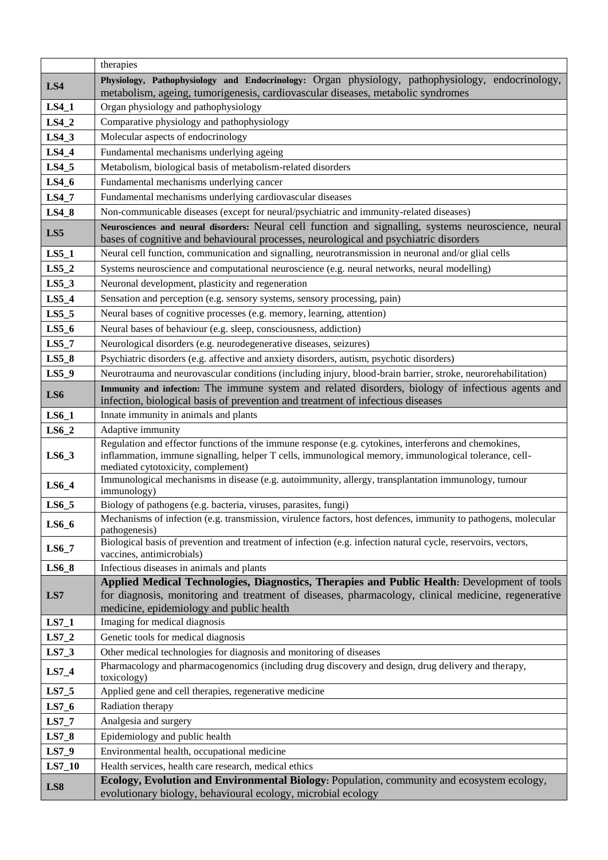|          | therapies                                                                                                                                                                                                                                            |  |  |
|----------|------------------------------------------------------------------------------------------------------------------------------------------------------------------------------------------------------------------------------------------------------|--|--|
| LS4      | Physiology, Pathophysiology and Endocrinology: Organ physiology, pathophysiology, endocrinology,<br>metabolism, ageing, tumorigenesis, cardiovascular diseases, metabolic syndromes                                                                  |  |  |
| $LS4_1$  | Organ physiology and pathophysiology                                                                                                                                                                                                                 |  |  |
| $LS4_2$  | Comparative physiology and pathophysiology                                                                                                                                                                                                           |  |  |
| $LS4_3$  | Molecular aspects of endocrinology                                                                                                                                                                                                                   |  |  |
| $LS4_4$  | Fundamental mechanisms underlying ageing                                                                                                                                                                                                             |  |  |
| $LS4_5$  | Metabolism, biological basis of metabolism-related disorders                                                                                                                                                                                         |  |  |
| $LS4_6$  | Fundamental mechanisms underlying cancer                                                                                                                                                                                                             |  |  |
| $LS4_7$  | Fundamental mechanisms underlying cardiovascular diseases                                                                                                                                                                                            |  |  |
| $LS4_8$  | Non-communicable diseases (except for neural/psychiatric and immunity-related diseases)                                                                                                                                                              |  |  |
| LS5      | Neurosciences and neural disorders: Neural cell function and signalling, systems neuroscience, neural<br>bases of cognitive and behavioural processes, neurological and psychiatric disorders                                                        |  |  |
| $LS5_1$  | Neural cell function, communication and signalling, neurotransmission in neuronal and/or glial cells                                                                                                                                                 |  |  |
| $LS5_2$  | Systems neuroscience and computational neuroscience (e.g. neural networks, neural modelling)                                                                                                                                                         |  |  |
| $LS5_3$  | Neuronal development, plasticity and regeneration                                                                                                                                                                                                    |  |  |
| $LS5_4$  | Sensation and perception (e.g. sensory systems, sensory processing, pain)                                                                                                                                                                            |  |  |
| $LS5_5$  | Neural bases of cognitive processes (e.g. memory, learning, attention)                                                                                                                                                                               |  |  |
| $LS5_6$  | Neural bases of behaviour (e.g. sleep, consciousness, addiction)                                                                                                                                                                                     |  |  |
| $LS5_7$  | Neurological disorders (e.g. neurodegenerative diseases, seizures)                                                                                                                                                                                   |  |  |
| $LS5_8$  | Psychiatric disorders (e.g. affective and anxiety disorders, autism, psychotic disorders)                                                                                                                                                            |  |  |
| $LS5_9$  | Neurotrauma and neurovascular conditions (including injury, blood-brain barrier, stroke, neurorehabilitation)                                                                                                                                        |  |  |
| LS6      | Immunity and infection: The immune system and related disorders, biology of infectious agents and<br>infection, biological basis of prevention and treatment of infectious diseases                                                                  |  |  |
| $LS6_1$  | Innate immunity in animals and plants                                                                                                                                                                                                                |  |  |
| $LS6_2$  | Adaptive immunity                                                                                                                                                                                                                                    |  |  |
| $LS6_3$  | Regulation and effector functions of the immune response (e.g. cytokines, interferons and chemokines,<br>inflammation, immune signalling, helper T cells, immunological memory, immunological tolerance, cell-<br>mediated cytotoxicity, complement) |  |  |
| $LS6_4$  | Immunological mechanisms in disease (e.g. autoimmunity, allergy, transplantation immunology, tumour<br>immunology)                                                                                                                                   |  |  |
| $LS6_5$  | Biology of pathogens (e.g. bacteria, viruses, parasites, fungi)                                                                                                                                                                                      |  |  |
| $LS6_6$  | Mechanisms of infection (e.g. transmission, virulence factors, host defences, immunity to pathogens, molecular<br>pathogenesis)                                                                                                                      |  |  |
| $LS6_7$  | Biological basis of prevention and treatment of infection (e.g. infection natural cycle, reservoirs, vectors,<br>vaccines, antimicrobials)                                                                                                           |  |  |
| $LS6_8$  | Infectious diseases in animals and plants                                                                                                                                                                                                            |  |  |
| LS7      | Applied Medical Technologies, Diagnostics, Therapies and Public Health: Development of tools<br>for diagnosis, monitoring and treatment of diseases, pharmacology, clinical medicine, regenerative<br>medicine, epidemiology and public health       |  |  |
| $LS7_1$  | Imaging for medical diagnosis                                                                                                                                                                                                                        |  |  |
| $LS7_2$  | Genetic tools for medical diagnosis                                                                                                                                                                                                                  |  |  |
| $LS7_3$  | Other medical technologies for diagnosis and monitoring of diseases                                                                                                                                                                                  |  |  |
| $LS7_4$  | Pharmacology and pharmacogenomics (including drug discovery and design, drug delivery and therapy,<br>toxicology)                                                                                                                                    |  |  |
| $LS7_5$  | Applied gene and cell therapies, regenerative medicine                                                                                                                                                                                               |  |  |
| $LS7_6$  | Radiation therapy                                                                                                                                                                                                                                    |  |  |
| $LS7_7$  | Analgesia and surgery                                                                                                                                                                                                                                |  |  |
| $LS7_8$  | Epidemiology and public health                                                                                                                                                                                                                       |  |  |
| $LS7_9$  | Environmental health, occupational medicine                                                                                                                                                                                                          |  |  |
| $LS7_10$ | Health services, health care research, medical ethics                                                                                                                                                                                                |  |  |
| LS8      | Ecology, Evolution and Environmental Biology: Population, community and ecosystem ecology,<br>evolutionary biology, behavioural ecology, microbial ecology                                                                                           |  |  |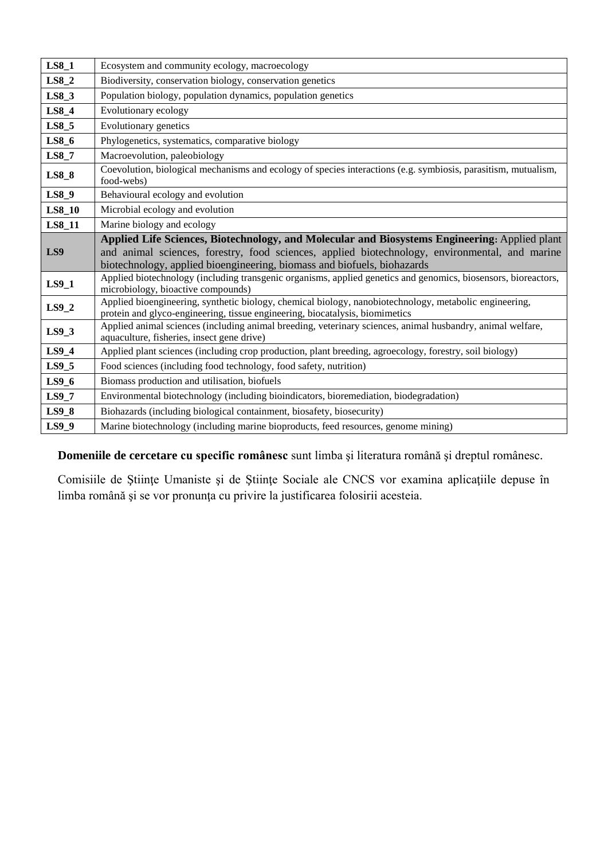| $LS8_1$       | Ecosystem and community ecology, macroecology                                                                                                                                                                                                                              |  |
|---------------|----------------------------------------------------------------------------------------------------------------------------------------------------------------------------------------------------------------------------------------------------------------------------|--|
| $LS8_2$       | Biodiversity, conservation biology, conservation genetics                                                                                                                                                                                                                  |  |
| $LS8_3$       | Population biology, population dynamics, population genetics                                                                                                                                                                                                               |  |
| $LS8_4$       | Evolutionary ecology                                                                                                                                                                                                                                                       |  |
| $LS8_5$       | Evolutionary genetics                                                                                                                                                                                                                                                      |  |
| $LS8_6$       | Phylogenetics, systematics, comparative biology                                                                                                                                                                                                                            |  |
| $LS8_7$       | Macroevolution, paleobiology                                                                                                                                                                                                                                               |  |
| $LS8_8$       | Coevolution, biological mechanisms and ecology of species interactions (e.g. symbiosis, parasitism, mutualism,<br>food-webs)                                                                                                                                               |  |
| $LS8_9$       | Behavioural ecology and evolution                                                                                                                                                                                                                                          |  |
| <b>LS8_10</b> | Microbial ecology and evolution                                                                                                                                                                                                                                            |  |
| LS8_11        | Marine biology and ecology                                                                                                                                                                                                                                                 |  |
| LS9           | Applied Life Sciences, Biotechnology, and Molecular and Biosystems Engineering: Applied plant<br>and animal sciences, forestry, food sciences, applied biotechnology, environmental, and marine<br>biotechnology, applied bioengineering, biomass and biofuels, biohazards |  |
| $LS9_1$       | Applied biotechnology (including transgenic organisms, applied genetics and genomics, biosensors, bioreactors,<br>microbiology, bioactive compounds)                                                                                                                       |  |
| $LS9_2$       | Applied bioengineering, synthetic biology, chemical biology, nanobiotechnology, metabolic engineering,<br>protein and glyco-engineering, tissue engineering, biocatalysis, biomimetics                                                                                     |  |
| $LS9_3$       | Applied animal sciences (including animal breeding, veterinary sciences, animal husbandry, animal welfare,<br>aquaculture, fisheries, insect gene drive)                                                                                                                   |  |
| $LS9_4$       | Applied plant sciences (including crop production, plant breeding, agroecology, forestry, soil biology)                                                                                                                                                                    |  |
| $LS9_5$       | Food sciences (including food technology, food safety, nutrition)                                                                                                                                                                                                          |  |
| $LS9_6$       | Biomass production and utilisation, biofuels                                                                                                                                                                                                                               |  |
| $LS9_7$       | Environmental biotechnology (including bioindicators, bioremediation, biodegradation)                                                                                                                                                                                      |  |
| $LS9_8$       | Biohazards (including biological containment, biosafety, biosecurity)                                                                                                                                                                                                      |  |
| LS9 9         | Marine biotechnology (including marine bioproducts, feed resources, genome mining)                                                                                                                                                                                         |  |

**Domeniile de cercetare cu specific românesc** sunt limba şi literatura română şi dreptul românesc.

Comisiile de Ştiinţe Umaniste şi de Ştiinţe Sociale ale CNCS vor examina aplicaţiile depuse în limba română şi se vor pronunţa cu privire la justificarea folosirii acesteia.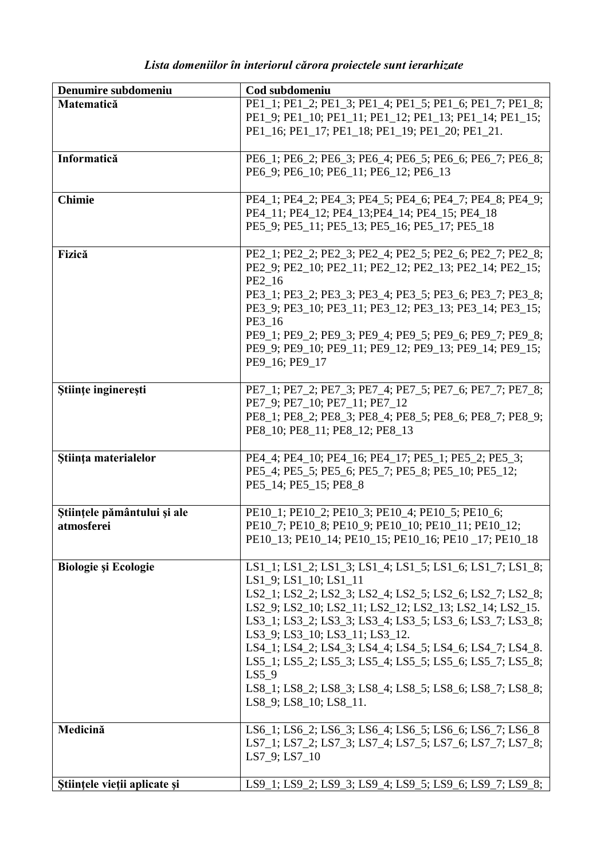| Lista domeniilor în interiorul cărora proiectele sunt ierarhizate |  |  |
|-------------------------------------------------------------------|--|--|

| Denumire subdomeniu                       | Cod subdomeniu                                                                                                                                                                                                                                                                                                                                                                                                                                                                                                                          |
|-------------------------------------------|-----------------------------------------------------------------------------------------------------------------------------------------------------------------------------------------------------------------------------------------------------------------------------------------------------------------------------------------------------------------------------------------------------------------------------------------------------------------------------------------------------------------------------------------|
| Matematică                                | PE1_1; PE1_2; PE1_3; PE1_4; PE1_5; PE1_6; PE1_7; PE1_8;<br>PE1_9; PE1_10; PE1_11; PE1_12; PE1_13; PE1_14; PE1_15;<br>PE1_16; PE1_17; PE1_18; PE1_19; PE1_20; PE1_21.                                                                                                                                                                                                                                                                                                                                                                    |
| Informatică                               | PE6_1; PE6_2; PE6_3; PE6_4; PE6_5; PE6_6; PE6_7; PE6_8;<br>PE6_9; PE6_10; PE6_11; PE6_12; PE6_13                                                                                                                                                                                                                                                                                                                                                                                                                                        |
| <b>Chimie</b>                             | PE4_1; PE4_2; PE4_3; PE4_5; PE4_6; PE4_7; PE4_8; PE4_9;<br>PE4_11; PE4_12; PE4_13; PE4_14; PE4_15; PE4_18<br>PE5_9; PE5_11; PE5_13; PE5_16; PE5_17; PE5_18                                                                                                                                                                                                                                                                                                                                                                              |
| Fizică                                    | PE2_1; PE2_2; PE2_3; PE2_4; PE2_5; PE2_6; PE2_7; PE2_8;<br>PE2_9; PE2_10; PE2_11; PE2_12; PE2_13; PE2_14; PE2_15;<br>PE2 16<br>PE3_1; PE3_2; PE3_3; PE3_4; PE3_5; PE3_6; PE3_7; PE3_8;<br>PE3_9; PE3_10; PE3_11; PE3_12; PE3_13; PE3_14; PE3_15;<br>PE3 16<br>PE9_1; PE9_2; PE9_3; PE9_4; PE9_5; PE9_6; PE9_7; PE9_8;<br>PE9_9; PE9_10; PE9_11; PE9_12; PE9_13; PE9_14; PE9_15;<br>PE9 16; PE9 17                                                                                                                                       |
| Stiințe inginerești                       | PE7_1; PE7_2; PE7_3; PE7_4; PE7_5; PE7_6; PE7_7; PE7_8;<br>PE7_9; PE7_10; PE7_11; PE7_12<br>PE8_1; PE8_2; PE8_3; PE8_4; PE8_5; PE8_6; PE8_7; PE8_9;<br>PE8_10; PE8_11; PE8_12; PE8_13                                                                                                                                                                                                                                                                                                                                                   |
| Stiința materialelor                      | PE4_4; PE4_10; PE4_16; PE4_17; PE5_1; PE5_2; PE5_3;<br>PE5_4; PE5_5; PE5_6; PE5_7; PE5_8; PE5_10; PE5_12;<br>PE5_14; PE5_15; PE8_8                                                                                                                                                                                                                                                                                                                                                                                                      |
| Științele pământului și ale<br>atmosferei | PE10_1; PE10_2; PE10_3; PE10_4; PE10_5; PE10_6;<br>PE10_7; PE10_8; PE10_9; PE10_10; PE10_11; PE10_12;<br>PE10_13; PE10_14; PE10_15; PE10_16; PE10_17; PE10_18                                                                                                                                                                                                                                                                                                                                                                           |
| Biologie și Ecologie                      | LS1_1; LS1_2; LS1_3; LS1_4; LS1_5; LS1_6; LS1_7; LS1_8;<br>$LS1_9$ ; $LS1_10$ ; $LS1_11$<br>LS2_1; LS2_2; LS2_3; LS2_4; LS2_5; LS2_6; LS2_7; LS2_8;<br>LS2_9; LS2_10; LS2_11; LS2_12; LS2_13; LS2_14; LS2_15.<br>LS3_1; LS3_2; LS3_3; LS3_4; LS3_5; LS3_6; LS3_7; LS3_8;<br>LS3_9; LS3_10; LS3_11; LS3_12.<br>LS4 1; LS4 2; LS4 3; LS4 4; LS4 5; LS4 6; LS4 7; LS4 8.<br>LS5 1; LS5 2; LS5 3; LS5 4; LS5 5; LS5 6; LS5 7; LS5 8;<br>LS5 9<br>LS8_1; LS8_2; LS8_3; LS8_4; LS8_5; LS8_6; LS8_7; LS8_8;<br>$LS8_9$ ; $LS8_10$ ; $LS8_11$ . |
| Medicină                                  | LS6_1; LS6_2; LS6_3; LS6_4; LS6_5; LS6_6; LS6_7; LS6_8<br>LS7_1; LS7_2; LS7_3; LS7_4; LS7_5; LS7_6; LS7_7; LS7_8;<br>LS7_9; LS7 10                                                                                                                                                                                                                                                                                                                                                                                                      |
| Științele vieții aplicate și              | LS9_1; LS9_2; LS9_3; LS9_4; LS9_5; LS9_6; LS9_7; LS9_8;                                                                                                                                                                                                                                                                                                                                                                                                                                                                                 |